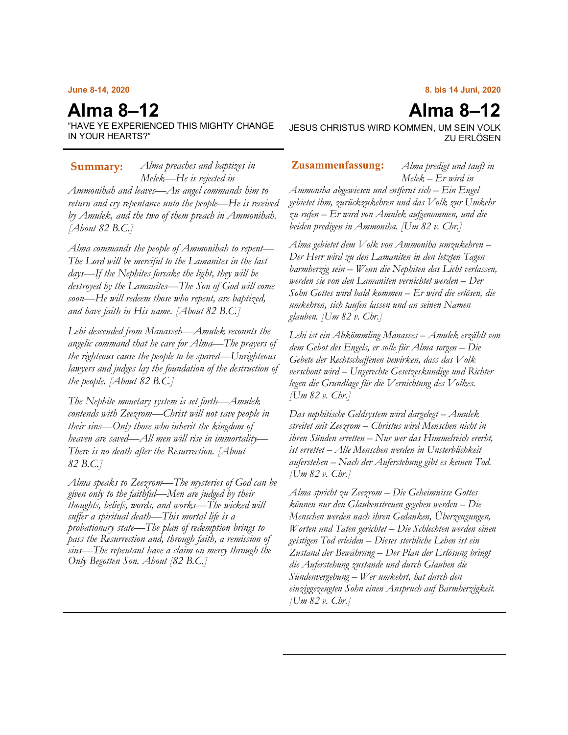### **June 8-14, 2020**

# **Alma 8–12**

"HAVE YE EXPERIENCED THIS MIGHTY CHANGE IN YOUR HEARTS?"

*Alma preaches and baptizes in*  **Summary: Zusammenfassung:***Melek—He is rejected in Ammonihah and leaves—An angel commands him to return and cry repentance unto the people—He is received by Amulek, and the two of them preach in Ammonihah. [About 82 B.C.]*

*Alma commands the people of Ammonihah to repent— The Lord will be merciful to the Lamanites in the last days—If the Nephites forsake the light, they will be destroyed by the Lamanites—The Son of God will come soon—He will redeem those who repent, are baptized, and have faith in His name. [About 82 B.C.]*

*Lehi descended from Manasseh—Amulek recounts the angelic command that he care for Alma—The prayers of the righteous cause the people to be spared—Unrighteous lawyers and judges lay the foundation of the destruction of the people. [About 82 B.C.]*

*The Nephite monetary system is set forth—Amulek contends with Zeezrom—Christ will not save people in their sins—Only those who inherit the kingdom of heaven are saved—All men will rise in immortality— There is no death after the Resurrection. [About 82 B.C.]*

*Alma speaks to Zeezrom—The mysteries of God can be given only to the faithful—Men are judged by their thoughts, beliefs, words, and works—The wicked will suffer a spiritual death—This mortal life is a probationary state—The plan of redemption brings to pass the Resurrection and, through faith, a remission of sins—The repentant have a claim on mercy through the Only Begotten Son. About [82 B.C.]*

## **8. bis 14 Juni, 2020**

JESUS CHRISTUS WIRD KOMMEN, UM SEIN VOLK ZU ERLÖSEN

*Alma predigt und tauft in Melek – Er wird in* 

*Ammoniha abgewiesen und entfernt sich – Ein Engel gebietet ihm, zurückzukehren und das Volk zur Umkehr zu rufen – Er wird von Amulek aufgenommen, und die beiden predigen in Ammoniha. [Um 82 v. Chr.]*

*Alma gebietet dem Volk von Ammoniha umzukehren – Der Herr wird zu den Lamaniten in den letzten Tagen barmherzig sein – Wenn die Nephiten das Licht verlassen, werden sie von den Lamaniten vernichtet werden – Der Sohn Gottes wird bald kommen – Er wird die erlösen, die umkehren, sich taufen lassen und an seinen Namen glauben. [Um 82 v. Chr.]*

*Lehi ist ein Abkömmling Manasses – Amulek erzählt von dem Gebot des Engels, er solle für Alma sorgen – Die Gebete der Rechtschaffenen bewirken, dass das Volk verschont wird – Ungerechte Gesetzeskundige und Richter legen die Grundlage für die Vernichtung des Volkes. [Um 82 v. Chr.]*

*Das nephitische Geldsystem wird dargelegt – Amulek streitet mit Zeezrom – Christus wird Menschen nicht in ihren Sünden erretten – Nur wer das Himmelreich ererbt, ist errettet – Alle Menschen werden in Unsterblichkeit auferstehen – Nach der Auferstehung gibt es keinen Tod. [Um 82 v. Chr.]*

*Alma spricht zu Zeezrom – Die Geheimnisse Gottes können nur den Glaubenstreuen gegeben werden – Die Menschen werden nach ihren Gedanken, Überzeugungen, Worten und Taten gerichtet – Die Schlechten werden einen geistigen Tod erleiden – Dieses sterbliche Leben ist ein Zustand der Bewährung – Der Plan der Erlösung bringt die Auferstehung zustande und durch Glauben die Sündenvergebung – Wer umkehrt, hat durch den einziggezeugten Sohn einen Anspruch auf Barmherzigkeit. [Um 82 v. Chr.]*

# **Alma 8–12**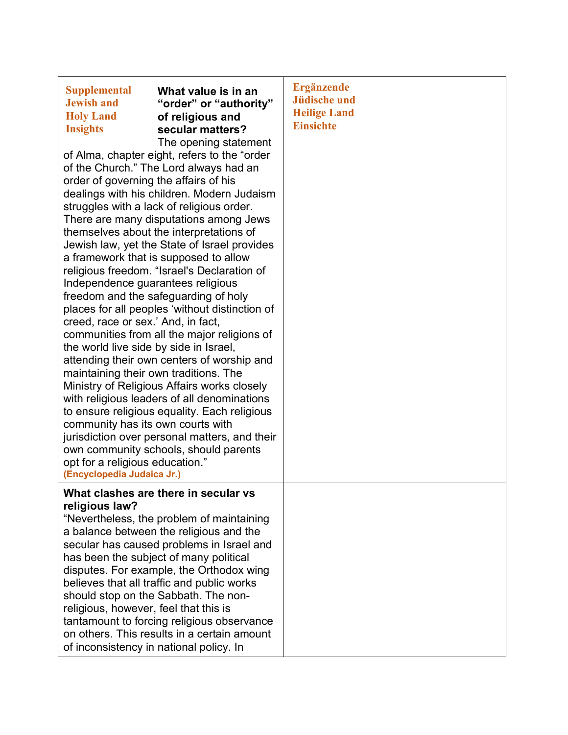| <b>Supplemental</b><br>What value is in an<br><b>Jewish and</b><br>"order" or "authority"<br><b>Holy Land</b><br>of religious and<br><b>Insights</b><br>secular matters?<br>The opening statement<br>of Alma, chapter eight, refers to the "order<br>of the Church." The Lord always had an<br>order of governing the affairs of his<br>dealings with his children. Modern Judaism<br>struggles with a lack of religious order.<br>There are many disputations among Jews<br>themselves about the interpretations of<br>Jewish law, yet the State of Israel provides<br>a framework that is supposed to allow<br>religious freedom. "Israel's Declaration of<br>Independence guarantees religious<br>freedom and the safeguarding of holy<br>places for all peoples 'without distinction of<br>creed, race or sex.' And, in fact,<br>communities from all the major religions of<br>the world live side by side in Israel,<br>attending their own centers of worship and<br>maintaining their own traditions. The<br>Ministry of Religious Affairs works closely<br>with religious leaders of all denominations<br>to ensure religious equality. Each religious<br>community has its own courts with<br>jurisdiction over personal matters, and their<br>own community schools, should parents<br>opt for a religious education."<br>(Encyclopedia Judaica Jr.) | <b>Ergänzende</b><br><b>Jüdische und</b><br><b>Heilige Land</b><br><b>Einsichte</b> |
|-----------------------------------------------------------------------------------------------------------------------------------------------------------------------------------------------------------------------------------------------------------------------------------------------------------------------------------------------------------------------------------------------------------------------------------------------------------------------------------------------------------------------------------------------------------------------------------------------------------------------------------------------------------------------------------------------------------------------------------------------------------------------------------------------------------------------------------------------------------------------------------------------------------------------------------------------------------------------------------------------------------------------------------------------------------------------------------------------------------------------------------------------------------------------------------------------------------------------------------------------------------------------------------------------------------------------------------------------------------------|-------------------------------------------------------------------------------------|
| What clashes are there in secular vs<br>religious law?<br>"Nevertheless, the problem of maintaining<br>a balance between the religious and the<br>secular has caused problems in Israel and<br>has been the subject of many political<br>disputes. For example, the Orthodox wing<br>believes that all traffic and public works<br>should stop on the Sabbath. The non-<br>religious, however, feel that this is<br>tantamount to forcing religious observance<br>on others. This results in a certain amount<br>of inconsistency in national policy. In                                                                                                                                                                                                                                                                                                                                                                                                                                                                                                                                                                                                                                                                                                                                                                                                        |                                                                                     |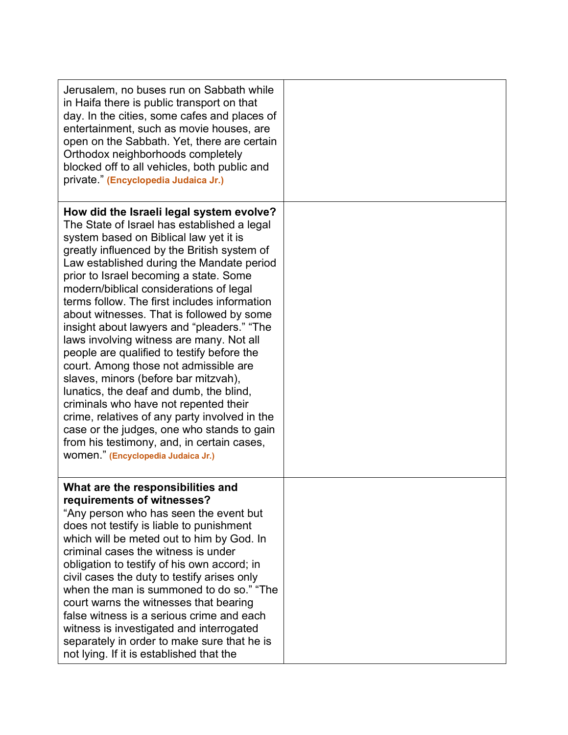| Jerusalem, no buses run on Sabbath while<br>in Haifa there is public transport on that<br>day. In the cities, some cafes and places of<br>entertainment, such as movie houses, are<br>open on the Sabbath. Yet, there are certain<br>Orthodox neighborhoods completely<br>blocked off to all vehicles, both public and<br>private " (Encyclopedia Judaica Jr.)                                                                                                                                                                                                                                                                                                                                                                                                                                                                                                                                                  |  |
|-----------------------------------------------------------------------------------------------------------------------------------------------------------------------------------------------------------------------------------------------------------------------------------------------------------------------------------------------------------------------------------------------------------------------------------------------------------------------------------------------------------------------------------------------------------------------------------------------------------------------------------------------------------------------------------------------------------------------------------------------------------------------------------------------------------------------------------------------------------------------------------------------------------------|--|
| How did the Israeli legal system evolve?<br>The State of Israel has established a legal<br>system based on Biblical law yet it is<br>greatly influenced by the British system of<br>Law established during the Mandate period<br>prior to Israel becoming a state. Some<br>modern/biblical considerations of legal<br>terms follow. The first includes information<br>about witnesses. That is followed by some<br>insight about lawyers and "pleaders." "The<br>laws involving witness are many. Not all<br>people are qualified to testify before the<br>court. Among those not admissible are<br>slaves, minors (before bar mitzvah),<br>lunatics, the deaf and dumb, the blind,<br>criminals who have not repented their<br>crime, relatives of any party involved in the<br>case or the judges, one who stands to gain<br>from his testimony, and, in certain cases,<br>WOMEN." (Encyclopedia Judaica Jr.) |  |
| What are the responsibilities and<br>requirements of witnesses?<br>"Any person who has seen the event but<br>does not testify is liable to punishment<br>which will be meted out to him by God. In<br>criminal cases the witness is under<br>obligation to testify of his own accord; in<br>civil cases the duty to testify arises only<br>when the man is summoned to do so." "The<br>court warns the witnesses that bearing<br>false witness is a serious crime and each<br>witness is investigated and interrogated<br>separately in order to make sure that he is<br>not lying. If it is established that the                                                                                                                                                                                                                                                                                               |  |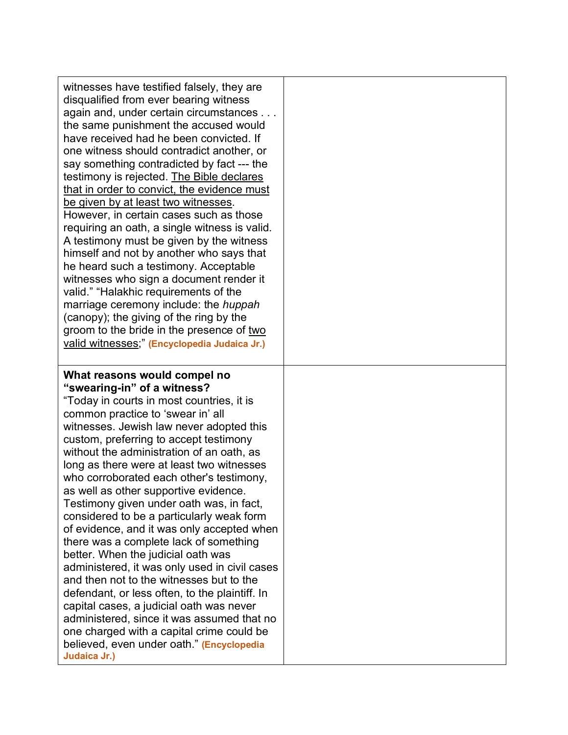| witnesses have testified falsely, they are<br>disqualified from ever bearing witness<br>again and, under certain circumstances<br>the same punishment the accused would<br>have received had he been convicted. If<br>one witness should contradict another, or<br>say something contradicted by fact --- the<br>testimony is rejected. The Bible declares<br>that in order to convict, the evidence must<br>be given by at least two witnesses.<br>However, in certain cases such as those<br>requiring an oath, a single witness is valid.<br>A testimony must be given by the witness<br>himself and not by another who says that<br>he heard such a testimony. Acceptable<br>witnesses who sign a document render it<br>valid." "Halakhic requirements of the<br>marriage ceremony include: the <i>huppah</i><br>(canopy); the giving of the ring by the<br>groom to the bride in the presence of two<br>valid witnesses;" (Encyclopedia Judaica Jr.)                                   |  |
|---------------------------------------------------------------------------------------------------------------------------------------------------------------------------------------------------------------------------------------------------------------------------------------------------------------------------------------------------------------------------------------------------------------------------------------------------------------------------------------------------------------------------------------------------------------------------------------------------------------------------------------------------------------------------------------------------------------------------------------------------------------------------------------------------------------------------------------------------------------------------------------------------------------------------------------------------------------------------------------------|--|
| What reasons would compel no<br>"swearing-in" of a witness?<br>"Today in courts in most countries, it is<br>common practice to 'swear in' all<br>witnesses. Jewish law never adopted this<br>custom, preferring to accept testimony<br>without the administration of an oath, as<br>long as there were at least two witnesses<br>who corroborated each other's testimony,<br>as well as other supportive evidence<br>Testimony given under oath was, in fact,<br>considered to be a particularly weak form<br>of evidence, and it was only accepted when<br>there was a complete lack of something<br>better. When the judicial oath was<br>administered, it was only used in civil cases<br>and then not to the witnesses but to the<br>defendant, or less often, to the plaintiff. In<br>capital cases, a judicial oath was never<br>administered, since it was assumed that no<br>one charged with a capital crime could be<br>believed, even under oath." (Encyclopedia<br>Judaica Jr.) |  |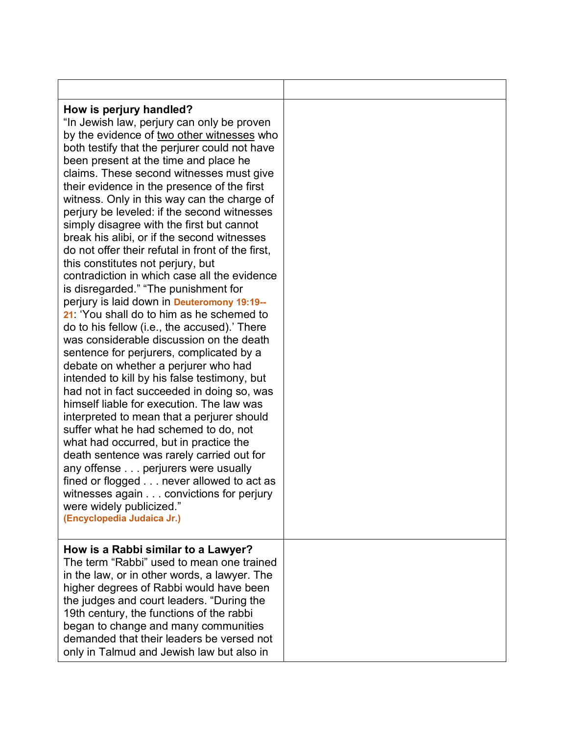| How is perjury handled?<br>"In Jewish law, perjury can only be proven<br>by the evidence of two other witnesses who<br>both testify that the perjurer could not have<br>been present at the time and place he<br>claims. These second witnesses must give<br>their evidence in the presence of the first<br>witness. Only in this way can the charge of<br>perjury be leveled: if the second witnesses<br>simply disagree with the first but cannot<br>break his alibi, or if the second witnesses<br>do not offer their refutal in front of the first,<br>this constitutes not perjury, but<br>contradiction in which case all the evidence<br>is disregarded." "The punishment for<br>perjury is laid down in Deuteromony 19:19--<br>21: 'You shall do to him as he schemed to<br>do to his fellow (i.e., the accused).' There<br>was considerable discussion on the death<br>sentence for perjurers, complicated by a<br>debate on whether a perjurer who had<br>intended to kill by his false testimony, but<br>had not in fact succeeded in doing so, was<br>himself liable for execution. The law was<br>interpreted to mean that a perjurer should<br>suffer what he had schemed to do, not<br>what had occurred, but in practice the<br>death sentence was rarely carried out for<br>any offense perjurers were usually<br>fined or flogged never allowed to act as<br>witnesses again convictions for perjury<br>were widely publicized."<br>(Encyclopedia Judaica Jr.) |  |
|----------------------------------------------------------------------------------------------------------------------------------------------------------------------------------------------------------------------------------------------------------------------------------------------------------------------------------------------------------------------------------------------------------------------------------------------------------------------------------------------------------------------------------------------------------------------------------------------------------------------------------------------------------------------------------------------------------------------------------------------------------------------------------------------------------------------------------------------------------------------------------------------------------------------------------------------------------------------------------------------------------------------------------------------------------------------------------------------------------------------------------------------------------------------------------------------------------------------------------------------------------------------------------------------------------------------------------------------------------------------------------------------------------------------------------------------------------------------------------|--|
| How is a Rabbi similar to a Lawyer?<br>The term "Rabbi" used to mean one trained<br>in the law, or in other words, a lawyer. The<br>higher degrees of Rabbi would have been<br>the judges and court leaders. "During the<br>19th century, the functions of the rabbi<br>began to change and many communities<br>demanded that their leaders be versed not<br>only in Talmud and Jewish law but also in                                                                                                                                                                                                                                                                                                                                                                                                                                                                                                                                                                                                                                                                                                                                                                                                                                                                                                                                                                                                                                                                           |  |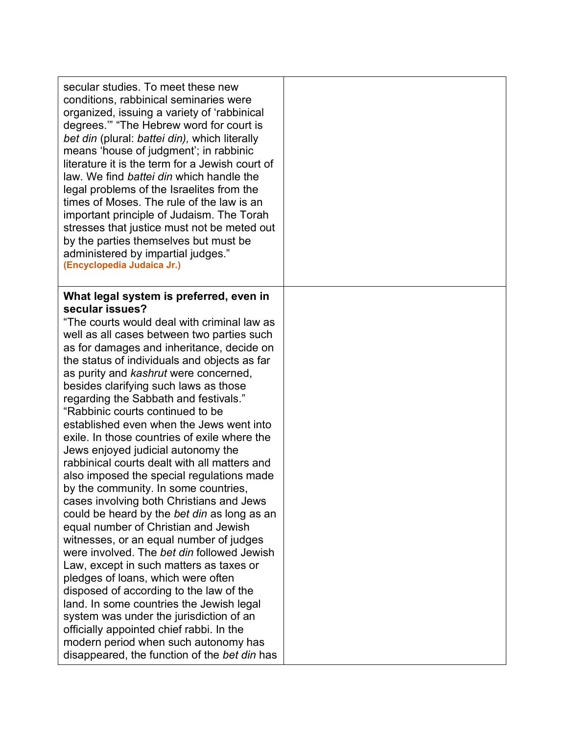| secular studies. To meet these new<br>conditions, rabbinical seminaries were<br>organized, issuing a variety of 'rabbinical<br>degrees." "The Hebrew word for court is<br>bet din (plural: battei din), which literally<br>means 'house of judgment'; in rabbinic<br>literature it is the term for a Jewish court of<br>law. We find battei din which handle the<br>legal problems of the Israelites from the<br>times of Moses. The rule of the law is an<br>important principle of Judaism. The Torah<br>stresses that justice must not be meted out<br>by the parties themselves but must be<br>administered by impartial judges."<br>(Encyclopedia Judaica Jr.)                                                                                                                                                                                                                                                                                                                                                                                                                                                                                                                                                                                                           |  |
|-------------------------------------------------------------------------------------------------------------------------------------------------------------------------------------------------------------------------------------------------------------------------------------------------------------------------------------------------------------------------------------------------------------------------------------------------------------------------------------------------------------------------------------------------------------------------------------------------------------------------------------------------------------------------------------------------------------------------------------------------------------------------------------------------------------------------------------------------------------------------------------------------------------------------------------------------------------------------------------------------------------------------------------------------------------------------------------------------------------------------------------------------------------------------------------------------------------------------------------------------------------------------------|--|
| What legal system is preferred, even in<br>secular issues?<br>"The courts would deal with criminal law as<br>well as all cases between two parties such<br>as for damages and inheritance, decide on<br>the status of individuals and objects as far<br>as purity and kashrut were concerned,<br>besides clarifying such laws as those<br>regarding the Sabbath and festivals."<br>"Rabbinic courts continued to be<br>established even when the Jews went into<br>exile. In those countries of exile where the<br>Jews enjoyed judicial autonomy the<br>rabbinical courts dealt with all matters and<br>also imposed the special regulations made<br>by the community. In some countries,<br>cases involving both Christians and Jews<br>could be heard by the bet din as long as an<br>equal number of Christian and Jewish<br>witnesses, or an equal number of judges<br>were involved. The bet din followed Jewish<br>Law, except in such matters as taxes or<br>pledges of loans, which were often<br>disposed of according to the law of the<br>land. In some countries the Jewish legal<br>system was under the jurisdiction of an<br>officially appointed chief rabbi. In the<br>modern period when such autonomy has<br>disappeared, the function of the bet din has |  |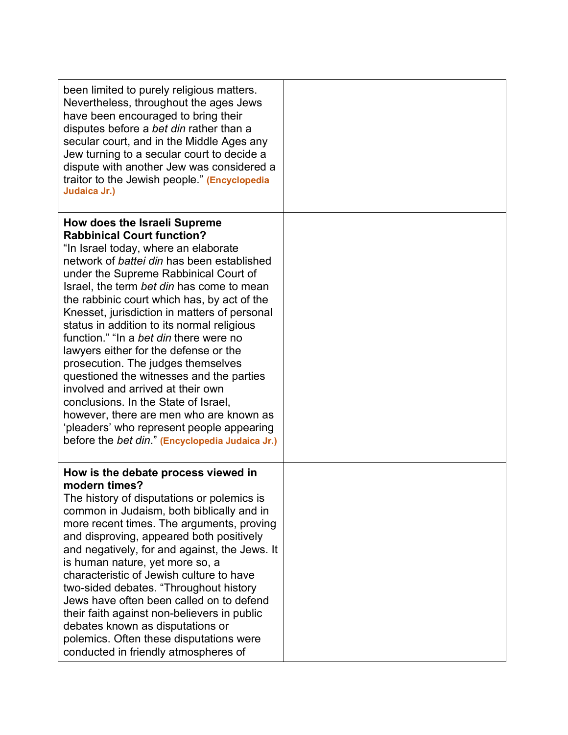| been limited to purely religious matters.<br>Nevertheless, throughout the ages Jews<br>have been encouraged to bring their<br>disputes before a bet din rather than a<br>secular court, and in the Middle Ages any<br>Jew turning to a secular court to decide a<br>dispute with another Jew was considered a<br>traitor to the Jewish people." (Encyclopedia<br>Judaica Jr.)                                                                                                                                                                                                                                                                                                                                                                                                                  |  |
|------------------------------------------------------------------------------------------------------------------------------------------------------------------------------------------------------------------------------------------------------------------------------------------------------------------------------------------------------------------------------------------------------------------------------------------------------------------------------------------------------------------------------------------------------------------------------------------------------------------------------------------------------------------------------------------------------------------------------------------------------------------------------------------------|--|
| How does the Israeli Supreme<br><b>Rabbinical Court function?</b><br>"In Israel today, where an elaborate<br>network of <i>battei din</i> has been established<br>under the Supreme Rabbinical Court of<br>Israel, the term bet din has come to mean<br>the rabbinic court which has, by act of the<br>Knesset, jurisdiction in matters of personal<br>status in addition to its normal religious<br>function." "In a bet din there were no<br>lawyers either for the defense or the<br>prosecution. The judges themselves<br>questioned the witnesses and the parties<br>involved and arrived at their own<br>conclusions. In the State of Israel,<br>however, there are men who are known as<br>'pleaders' who represent people appearing<br>before the bet din." (Encyclopedia Judaica Jr.) |  |
| How is the debate process viewed in<br>modern times?<br>The history of disputations or polemics is<br>common in Judaism, both biblically and in<br>more recent times. The arguments, proving<br>and disproving, appeared both positively<br>and negatively, for and against, the Jews. It<br>is human nature, yet more so, a<br>characteristic of Jewish culture to have<br>two-sided debates. "Throughout history<br>Jews have often been called on to defend<br>their faith against non-believers in public<br>debates known as disputations or<br>polemics. Often these disputations were<br>conducted in friendly atmospheres of                                                                                                                                                           |  |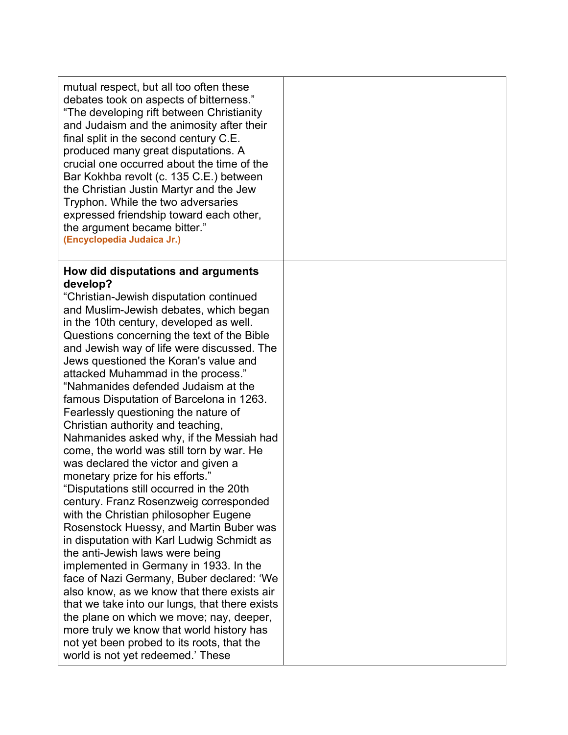| mutual respect, but all too often these<br>debates took on aspects of bitterness."<br>"The developing rift between Christianity<br>and Judaism and the animosity after their<br>final split in the second century C.E.<br>produced many great disputations. A<br>crucial one occurred about the time of the<br>Bar Kokhba revolt (c. 135 C.E.) between<br>the Christian Justin Martyr and the Jew<br>Tryphon. While the two adversaries<br>expressed friendship toward each other,<br>the argument became bitter."<br>(Encyclopedia Judaica Jr.) |  |
|--------------------------------------------------------------------------------------------------------------------------------------------------------------------------------------------------------------------------------------------------------------------------------------------------------------------------------------------------------------------------------------------------------------------------------------------------------------------------------------------------------------------------------------------------|--|
| How did disputations and arguments                                                                                                                                                                                                                                                                                                                                                                                                                                                                                                               |  |
| develop?                                                                                                                                                                                                                                                                                                                                                                                                                                                                                                                                         |  |
| "Christian-Jewish disputation continued                                                                                                                                                                                                                                                                                                                                                                                                                                                                                                          |  |
| and Muslim-Jewish debates, which began                                                                                                                                                                                                                                                                                                                                                                                                                                                                                                           |  |
| in the 10th century, developed as well.<br>Questions concerning the text of the Bible                                                                                                                                                                                                                                                                                                                                                                                                                                                            |  |
| and Jewish way of life were discussed. The                                                                                                                                                                                                                                                                                                                                                                                                                                                                                                       |  |
| Jews questioned the Koran's value and                                                                                                                                                                                                                                                                                                                                                                                                                                                                                                            |  |
| attacked Muhammad in the process."                                                                                                                                                                                                                                                                                                                                                                                                                                                                                                               |  |
| "Nahmanides defended Judaism at the                                                                                                                                                                                                                                                                                                                                                                                                                                                                                                              |  |
| famous Disputation of Barcelona in 1263.                                                                                                                                                                                                                                                                                                                                                                                                                                                                                                         |  |
| Fearlessly questioning the nature of                                                                                                                                                                                                                                                                                                                                                                                                                                                                                                             |  |
| Christian authority and teaching,                                                                                                                                                                                                                                                                                                                                                                                                                                                                                                                |  |
| Nahmanides asked why, if the Messiah had<br>come, the world was still torn by war. He                                                                                                                                                                                                                                                                                                                                                                                                                                                            |  |
| was declared the victor and given a                                                                                                                                                                                                                                                                                                                                                                                                                                                                                                              |  |
| monetary prize for his efforts."                                                                                                                                                                                                                                                                                                                                                                                                                                                                                                                 |  |
| "Disputations still occurred in the 20th                                                                                                                                                                                                                                                                                                                                                                                                                                                                                                         |  |
| century. Franz Rosenzweig corresponded                                                                                                                                                                                                                                                                                                                                                                                                                                                                                                           |  |
| with the Christian philosopher Eugene                                                                                                                                                                                                                                                                                                                                                                                                                                                                                                            |  |
| Rosenstock Huessy, and Martin Buber was                                                                                                                                                                                                                                                                                                                                                                                                                                                                                                          |  |
| in disputation with Karl Ludwig Schmidt as                                                                                                                                                                                                                                                                                                                                                                                                                                                                                                       |  |
| the anti-Jewish laws were being                                                                                                                                                                                                                                                                                                                                                                                                                                                                                                                  |  |
| implemented in Germany in 1933. In the                                                                                                                                                                                                                                                                                                                                                                                                                                                                                                           |  |
| face of Nazi Germany, Buber declared: 'We<br>also know, as we know that there exists air                                                                                                                                                                                                                                                                                                                                                                                                                                                         |  |
| that we take into our lungs, that there exists                                                                                                                                                                                                                                                                                                                                                                                                                                                                                                   |  |
| the plane on which we move; nay, deeper,                                                                                                                                                                                                                                                                                                                                                                                                                                                                                                         |  |
| more truly we know that world history has                                                                                                                                                                                                                                                                                                                                                                                                                                                                                                        |  |
| not yet been probed to its roots, that the                                                                                                                                                                                                                                                                                                                                                                                                                                                                                                       |  |
| world is not yet redeemed.' These                                                                                                                                                                                                                                                                                                                                                                                                                                                                                                                |  |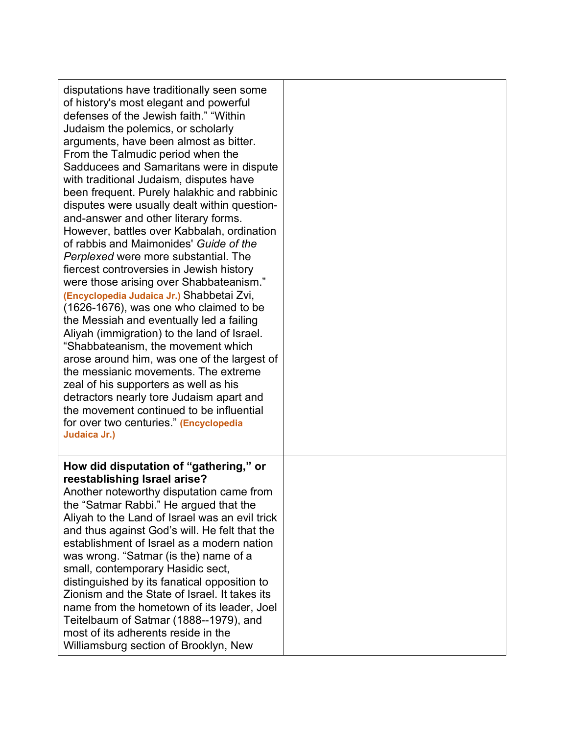| disputations have traditionally seen some<br>of history's most elegant and powerful<br>defenses of the Jewish faith." "Within<br>Judaism the polemics, or scholarly<br>arguments, have been almost as bitter.<br>From the Talmudic period when the<br>Sadducees and Samaritans were in dispute<br>with traditional Judaism, disputes have<br>been frequent. Purely halakhic and rabbinic<br>disputes were usually dealt within question-<br>and-answer and other literary forms.<br>However, battles over Kabbalah, ordination<br>of rabbis and Maimonides' Guide of the<br>Perplexed were more substantial. The<br>fiercest controversies in Jewish history<br>were those arising over Shabbateanism."<br>(Encyclopedia Judaica Jr.) Shabbetai Zvi,<br>(1626-1676), was one who claimed to be<br>the Messiah and eventually led a failing<br>Aliyah (immigration) to the land of Israel.<br>"Shabbateanism, the movement which<br>arose around him, was one of the largest of<br>the messianic movements. The extreme<br>zeal of his supporters as well as his<br>detractors nearly tore Judaism apart and<br>the movement continued to be influential<br>for over two centuries." (Encyclopedia<br>Judaica Jr.) |  |
|-------------------------------------------------------------------------------------------------------------------------------------------------------------------------------------------------------------------------------------------------------------------------------------------------------------------------------------------------------------------------------------------------------------------------------------------------------------------------------------------------------------------------------------------------------------------------------------------------------------------------------------------------------------------------------------------------------------------------------------------------------------------------------------------------------------------------------------------------------------------------------------------------------------------------------------------------------------------------------------------------------------------------------------------------------------------------------------------------------------------------------------------------------------------------------------------------------------------|--|
| How did disputation of "gathering," or<br>reestablishing Israel arise?<br>Another noteworthy disputation came from<br>the "Satmar Rabbi." He argued that the<br>Aliyah to the Land of Israel was an evil trick<br>and thus against God's will. He felt that the<br>establishment of Israel as a modern nation<br>was wrong. "Satmar (is the) name of a<br>small, contemporary Hasidic sect,<br>distinguished by its fanatical opposition to<br>Zionism and the State of Israel. It takes its<br>name from the hometown of its leader, Joel<br>Teitelbaum of Satmar (1888--1979), and<br>most of its adherents reside in the<br>Williamsburg section of Brooklyn, New                                                                                                                                                                                                                                                                                                                                                                                                                                                                                                                                              |  |